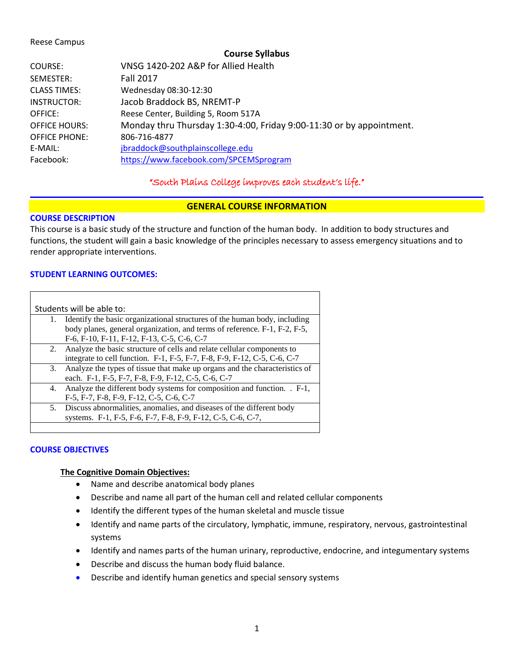#### Reese Campus

#### **Course Syllabus**

| COURSE:              | VNSG 1420-202 A&P for Allied Health                                  |  |  |
|----------------------|----------------------------------------------------------------------|--|--|
| SEMESTER:            | <b>Fall 2017</b>                                                     |  |  |
| <b>CLASS TIMES:</b>  | Wednesday 08:30-12:30                                                |  |  |
| INSTRUCTOR:          | Jacob Braddock BS, NREMT-P                                           |  |  |
| OFFICE:              | Reese Center, Building 5, Room 517A                                  |  |  |
| <b>OFFICE HOURS:</b> | Monday thru Thursday 1:30-4:00, Friday 9:00-11:30 or by appointment. |  |  |
| <b>OFFICE PHONE:</b> | 806-716-4877                                                         |  |  |
| E-MAIL:              | jbraddock@southplainscollege.edu                                     |  |  |
| Facebook:            | https://www.facebook.com/SPCEMSprogram                               |  |  |

# "South Plains College improves each student's life."

#### **GENERAL COURSE INFORMATION**

#### **COURSE DESCRIPTION**

This course is a basic study of the structure and function of the human body. In addition to body structures and functions, the student will gain a basic knowledge of the principles necessary to assess emergency situations and to render appropriate interventions.

#### **STUDENT LEARNING OUTCOMES:**

| Students will be able to: |                                                                            |  |  |
|---------------------------|----------------------------------------------------------------------------|--|--|
| 1.                        | Identify the basic organizational structures of the human body, including  |  |  |
|                           | body planes, general organization, and terms of reference. F-1, F-2, F-5,  |  |  |
|                           | F-6, F-10, F-11, F-12, F-13, C-5, C-6, C-7                                 |  |  |
|                           | 2. Analyze the basic structure of cells and relate cellular components to  |  |  |
|                           | integrate to cell function. F-1, F-5, F-7, F-8, F-9, F-12, C-5, C-6, C-7   |  |  |
| 3.                        | Analyze the types of tissue that make up organs and the characteristics of |  |  |
|                           | each. F-1, F-5, F-7, F-8, F-9, F-12, C-5, C-6, C-7                         |  |  |
|                           | 4. Analyze the different body systems for composition and function. F-1,   |  |  |
|                           | F-5, F-7, F-8, F-9, F-12, C-5, C-6, C-7                                    |  |  |
| 5.                        | Discuss abnormalities, anomalies, and diseases of the different body       |  |  |
|                           | systems. F-1, F-5, F-6, F-7, F-8, F-9, F-12, C-5, C-6, C-7,                |  |  |
|                           |                                                                            |  |  |

#### **COURSE OBJECTIVES**

#### **The Cognitive Domain Objectives:**

- Name and describe anatomical body planes
- Describe and name all part of the human cell and related cellular components
- Identify the different types of the human skeletal and muscle tissue
- Identify and name parts of the circulatory, lymphatic, immune, respiratory, nervous, gastrointestinal systems
- Identify and names parts of the human urinary, reproductive, endocrine, and integumentary systems
- Describe and discuss the human body fluid balance.
- Describe and identify human genetics and special sensory systems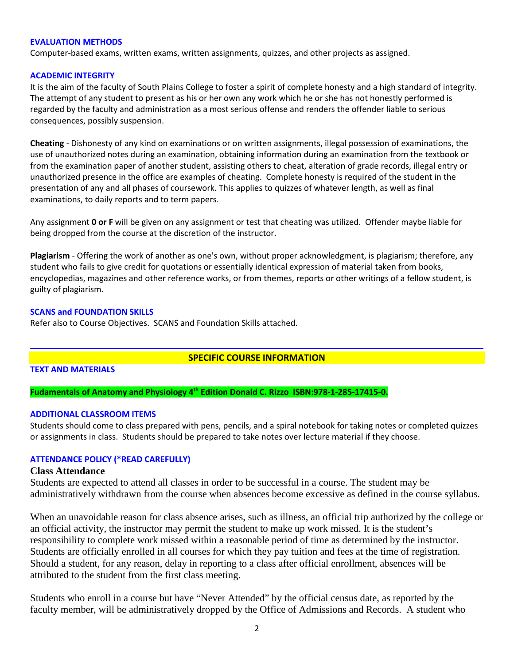#### **EVALUATION METHODS**

Computer-based exams, written exams, written assignments, quizzes, and other projects as assigned.

#### **ACADEMIC INTEGRITY**

It is the aim of the faculty of South Plains College to foster a spirit of complete honesty and a high standard of integrity. The attempt of any student to present as his or her own any work which he or she has not honestly performed is regarded by the faculty and administration as a most serious offense and renders the offender liable to serious consequences, possibly suspension.

**Cheating** - Dishonesty of any kind on examinations or on written assignments, illegal possession of examinations, the use of unauthorized notes during an examination, obtaining information during an examination from the textbook or from the examination paper of another student, assisting others to cheat, alteration of grade records, illegal entry or unauthorized presence in the office are examples of cheating. Complete honesty is required of the student in the presentation of any and all phases of coursework. This applies to quizzes of whatever length, as well as final examinations, to daily reports and to term papers.

Any assignment **0 or F** will be given on any assignment or test that cheating was utilized. Offender maybe liable for being dropped from the course at the discretion of the instructor.

**Plagiarism** - Offering the work of another as one's own, without proper acknowledgment, is plagiarism; therefore, any student who fails to give credit for quotations or essentially identical expression of material taken from books, encyclopedias, magazines and other reference works, or from themes, reports or other writings of a fellow student, is guilty of plagiarism.

#### **SCANS and FOUNDATION SKILLS**

Refer also to Course Objectives. SCANS and Foundation Skills attached.

# **SPECIFIC COURSE INFORMATION**

# **TEXT AND MATERIALS**

**Fudamentals of Anatomy and Physiology 4th Edition Donald C. Rizzo ISBN:978-1-285-17415-0.**

#### **ADDITIONAL CLASSROOM ITEMS**

Students should come to class prepared with pens, pencils, and a spiral notebook for taking notes or completed quizzes or assignments in class. Students should be prepared to take notes over lecture material if they choose.

#### **ATTENDANCE POLICY (\*READ CAREFULLY)**

#### **Class Attendance**

Students are expected to attend all classes in order to be successful in a course. The student may be administratively withdrawn from the course when absences become excessive as defined in the course syllabus.

When an unavoidable reason for class absence arises, such as illness, an official trip authorized by the college or an official activity, the instructor may permit the student to make up work missed. It is the student's responsibility to complete work missed within a reasonable period of time as determined by the instructor. Students are officially enrolled in all courses for which they pay tuition and fees at the time of registration. Should a student, for any reason, delay in reporting to a class after official enrollment, absences will be attributed to the student from the first class meeting.

Students who enroll in a course but have "Never Attended" by the official census date, as reported by the faculty member, will be administratively dropped by the Office of Admissions and Records. A student who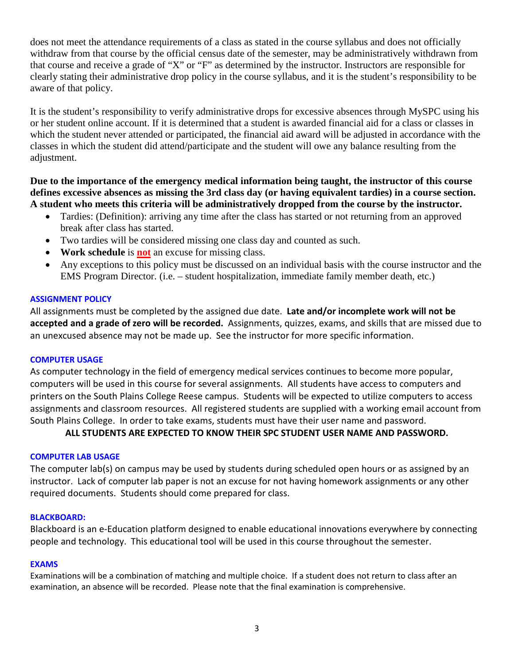does not meet the attendance requirements of a class as stated in the course syllabus and does not officially withdraw from that course by the official census date of the semester, may be administratively withdrawn from that course and receive a grade of "X" or "F" as determined by the instructor. Instructors are responsible for clearly stating their administrative drop policy in the course syllabus, and it is the student's responsibility to be aware of that policy.

It is the student's responsibility to verify administrative drops for excessive absences through MySPC using his or her student online account. If it is determined that a student is awarded financial aid for a class or classes in which the student never attended or participated, the financial aid award will be adjusted in accordance with the classes in which the student did attend/participate and the student will owe any balance resulting from the adjustment.

**Due to the importance of the emergency medical information being taught, the instructor of this course defines excessive absences as missing the 3rd class day (or having equivalent tardies) in a course section. A student who meets this criteria will be administratively dropped from the course by the instructor.** 

- Tardies: (Definition): arriving any time after the class has started or not returning from an approved break after class has started.
- Two tardies will be considered missing one class day and counted as such.
- **Work schedule** is **not** an excuse for missing class.
- Any exceptions to this policy must be discussed on an individual basis with the course instructor and the EMS Program Director. (i.e. – student hospitalization, immediate family member death, etc.)

# **ASSIGNMENT POLICY**

All assignments must be completed by the assigned due date. **Late and/or incomplete work will not be accepted and a grade of zero will be recorded.** Assignments, quizzes, exams, and skills that are missed due to an unexcused absence may not be made up. See the instructor for more specific information.

#### **COMPUTER USAGE**

As computer technology in the field of emergency medical services continues to become more popular, computers will be used in this course for several assignments. All students have access to computers and printers on the South Plains College Reese campus. Students will be expected to utilize computers to access assignments and classroom resources. All registered students are supplied with a working email account from South Plains College. In order to take exams, students must have their user name and password.

# **ALL STUDENTS ARE EXPECTED TO KNOW THEIR SPC STUDENT USER NAME AND PASSWORD.**

# **COMPUTER LAB USAGE**

The computer lab(s) on campus may be used by students during scheduled open hours or as assigned by an instructor. Lack of computer lab paper is not an excuse for not having homework assignments or any other required documents. Students should come prepared for class.

#### **BLACKBOARD:**

Blackboard is an e-Education platform designed to enable educational innovations everywhere by connecting people and technology. This educational tool will be used in this course throughout the semester.

#### **EXAMS**

Examinations will be a combination of matching and multiple choice. If a student does not return to class after an examination, an absence will be recorded. Please note that the final examination is comprehensive.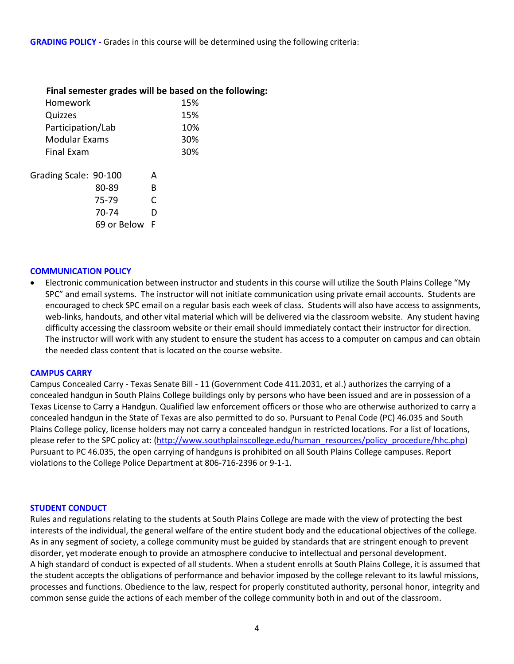|                       |               |   | Final semester grades will be based on the following: |
|-----------------------|---------------|---|-------------------------------------------------------|
| Homework              |               |   | 15%                                                   |
| Quizzes               |               |   | 15%                                                   |
| Participation/Lab     |               |   | 10%                                                   |
| <b>Modular Exams</b>  |               |   | 30%                                                   |
| <b>Final Exam</b>     |               |   | 30%                                                   |
| Grading Scale: 90-100 |               | А |                                                       |
|                       | 80-89         | B |                                                       |
|                       | 75-79         |   |                                                       |
|                       | 70-74         | D |                                                       |
|                       | 69 or Below F |   |                                                       |
|                       |               |   |                                                       |

#### **COMMUNICATION POLICY**

• Electronic communication between instructor and students in this course will utilize the South Plains College "My SPC" and email systems. The instructor will not initiate communication using private email accounts. Students are encouraged to check SPC email on a regular basis each week of class. Students will also have access to assignments, web-links, handouts, and other vital material which will be delivered via the classroom website. Any student having difficulty accessing the classroom website or their email should immediately contact their instructor for direction. The instructor will work with any student to ensure the student has access to a computer on campus and can obtain the needed class content that is located on the course website.

#### **CAMPUS CARRY**

Campus Concealed Carry - Texas Senate Bill - 11 (Government Code 411.2031, et al.) authorizes the carrying of a concealed handgun in South Plains College buildings only by persons who have been issued and are in possession of a Texas License to Carry a Handgun. Qualified law enforcement officers or those who are otherwise authorized to carry a concealed handgun in the State of Texas are also permitted to do so. Pursuant to Penal Code (PC) 46.035 and South Plains College policy, license holders may not carry a concealed handgun in restricted locations. For a list of locations, please refer to the SPC policy at: [\(http://www.southplainscollege.edu/human\\_resources/policy\\_procedure/hhc.php\)](http://www.southplainscollege.edu/human_resources/policy_procedure/hhc.php) Pursuant to PC 46.035, the open carrying of handguns is prohibited on all South Plains College campuses. Report violations to the College Police Department at 806-716-2396 or 9-1-1.

#### **STUDENT CONDUCT**

Rules and regulations relating to the students at South Plains College are made with the view of protecting the best interests of the individual, the general welfare of the entire student body and the educational objectives of the college. As in any segment of society, a college community must be guided by standards that are stringent enough to prevent disorder, yet moderate enough to provide an atmosphere conducive to intellectual and personal development. A high standard of conduct is expected of all students. When a student enrolls at South Plains College, it is assumed that the student accepts the obligations of performance and behavior imposed by the college relevant to its lawful missions, processes and functions. Obedience to the law, respect for properly constituted authority, personal honor, integrity and common sense guide the actions of each member of the college community both in and out of the classroom.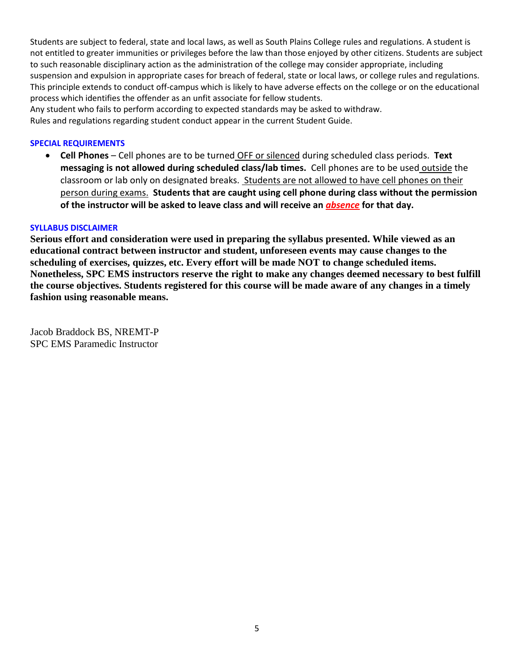Students are subject to federal, state and local laws, as well as South Plains College rules and regulations. A student is not entitled to greater immunities or privileges before the law than those enjoyed by other citizens. Students are subject to such reasonable disciplinary action as the administration of the college may consider appropriate, including suspension and expulsion in appropriate cases for breach of federal, state or local laws, or college rules and regulations. This principle extends to conduct off-campus which is likely to have adverse effects on the college or on the educational process which identifies the offender as an unfit associate for fellow students.

Any student who fails to perform according to expected standards may be asked to withdraw. Rules and regulations regarding student conduct appear in the current Student Guide.

## **SPECIAL REQUIREMENTS**

• **Cell Phones** – Cell phones are to be turned OFF or silenced during scheduled class periods. **Text messaging is not allowed during scheduled class/lab times.** Cell phones are to be used outside the classroom or lab only on designated breaks. Students are not allowed to have cell phones on their person during exams. **Students that are caught using cell phone during class without the permission of the instructor will be asked to leave class and will receive an** *absence* **for that day.**

#### **SYLLABUS DISCLAIMER**

**Serious effort and consideration were used in preparing the syllabus presented. While viewed as an educational contract between instructor and student, unforeseen events may cause changes to the scheduling of exercises, quizzes, etc. Every effort will be made NOT to change scheduled items. Nonetheless, SPC EMS instructors reserve the right to make any changes deemed necessary to best fulfill the course objectives. Students registered for this course will be made aware of any changes in a timely fashion using reasonable means.** 

Jacob Braddock BS, NREMT-P SPC EMS Paramedic Instructor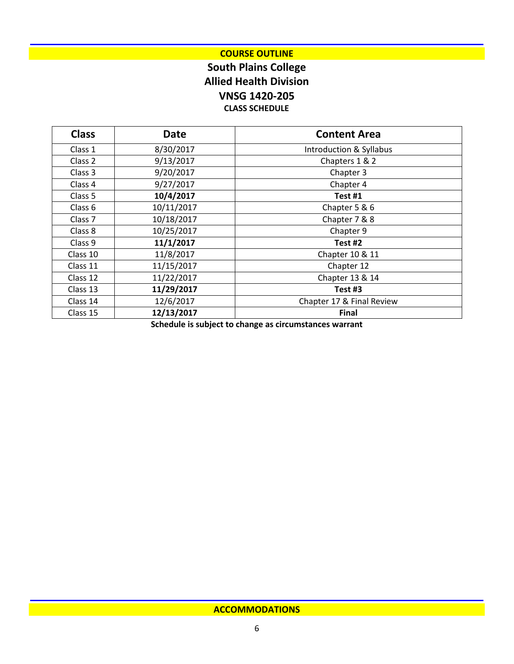# **COURSE OUTLINE**

# **South Plains College Allied Health Division VNSG 1420-205 CLASS SCHEDULE**

| <b>Class</b>       | <b>Date</b> | <b>Content Area</b>       |  |  |
|--------------------|-------------|---------------------------|--|--|
| Class 1            | 8/30/2017   | Introduction & Syllabus   |  |  |
| Class 2            | 9/13/2017   | Chapters 1 & 2            |  |  |
| Class 3            | 9/20/2017   | Chapter 3                 |  |  |
| Class 4            | 9/27/2017   | Chapter 4                 |  |  |
| Class 5            | 10/4/2017   | Test #1                   |  |  |
| Class 6            | 10/11/2017  | Chapter 5 & 6             |  |  |
| Class <sub>7</sub> | 10/18/2017  | Chapter 7 & 8             |  |  |
| Class 8            | 10/25/2017  | Chapter 9                 |  |  |
| Class 9            | 11/1/2017   | Test #2                   |  |  |
| Class 10           | 11/8/2017   | Chapter 10 & 11           |  |  |
| Class 11           | 11/15/2017  | Chapter 12                |  |  |
| Class 12           | 11/22/2017  | Chapter 13 & 14           |  |  |
| Class 13           | 11/29/2017  | Test #3                   |  |  |
| Class 14           | 12/6/2017   | Chapter 17 & Final Review |  |  |
| Class 15           | 12/13/2017  | <b>Final</b>              |  |  |

**Schedule is subject to change as circumstances warrant**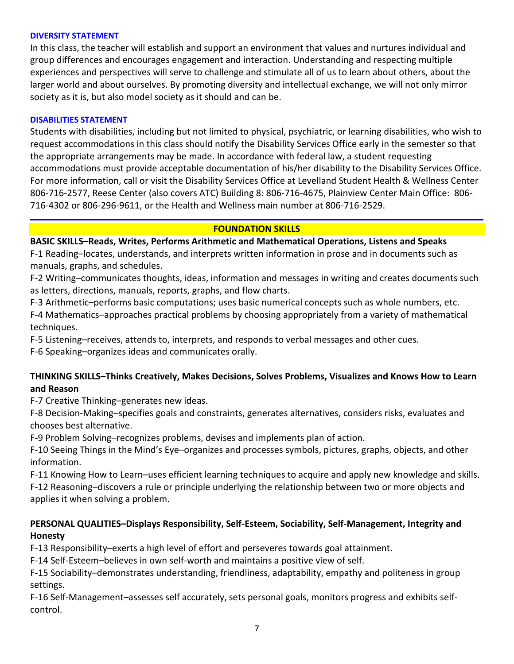#### **DIVERSITY STATEMENT**

In this class, the teacher will establish and support an environment that values and nurtures individual and group differences and encourages engagement and interaction. Understanding and respecting multiple experiences and perspectives will serve to challenge and stimulate all of us to learn about others, about the larger world and about ourselves. By promoting diversity and intellectual exchange, we will not only mirror society as it is, but also model society as it should and can be.

## **DISABILITIES STATEMENT**

Students with disabilities, including but not limited to physical, psychiatric, or learning disabilities, who wish to request accommodations in this class should notify the Disability Services Office early in the semester so that the appropriate arrangements may be made. In accordance with federal law, a student requesting accommodations must provide acceptable documentation of his/her disability to the Disability Services Office. For more information, call or visit the Disability Services Office at Levelland Student Health & Wellness Center 806-716-2577, Reese Center (also covers ATC) Building 8: 806-716-4675, Plainview Center Main Office: 806- 716-4302 or 806-296-9611, or the Health and Wellness main number at 806-716-2529.

## **FOUNDATION SKILLS**

# **BASIC SKILLS–Reads, Writes, Performs Arithmetic and Mathematical Operations, Listens and Speaks**

F-1 Reading–locates, understands, and interprets written information in prose and in documents such as manuals, graphs, and schedules.

F-2 Writing–communicates thoughts, ideas, information and messages in writing and creates documents such as letters, directions, manuals, reports, graphs, and flow charts.

F-3 Arithmetic–performs basic computations; uses basic numerical concepts such as whole numbers, etc.

F-4 Mathematics–approaches practical problems by choosing appropriately from a variety of mathematical techniques.

F-5 Listening–receives, attends to, interprets, and responds to verbal messages and other cues.

F-6 Speaking–organizes ideas and communicates orally.

# **THINKING SKILLS–Thinks Creatively, Makes Decisions, Solves Problems, Visualizes and Knows How to Learn and Reason**

F-7 Creative Thinking–generates new ideas.

F-8 Decision-Making–specifies goals and constraints, generates alternatives, considers risks, evaluates and chooses best alternative.

F-9 Problem Solving–recognizes problems, devises and implements plan of action.

F-10 Seeing Things in the Mind's Eye–organizes and processes symbols, pictures, graphs, objects, and other information.

F-11 Knowing How to Learn–uses efficient learning techniques to acquire and apply new knowledge and skills. F-12 Reasoning–discovers a rule or principle underlying the relationship between two or more objects and applies it when solving a problem.

# **PERSONAL QUALITIES–Displays Responsibility, Self-Esteem, Sociability, Self-Management, Integrity and Honesty**

F-13 Responsibility–exerts a high level of effort and perseveres towards goal attainment.

F-14 Self-Esteem–believes in own self-worth and maintains a positive view of self.

F-15 Sociability–demonstrates understanding, friendliness, adaptability, empathy and politeness in group settings.

F-16 Self-Management–assesses self accurately, sets personal goals, monitors progress and exhibits selfcontrol.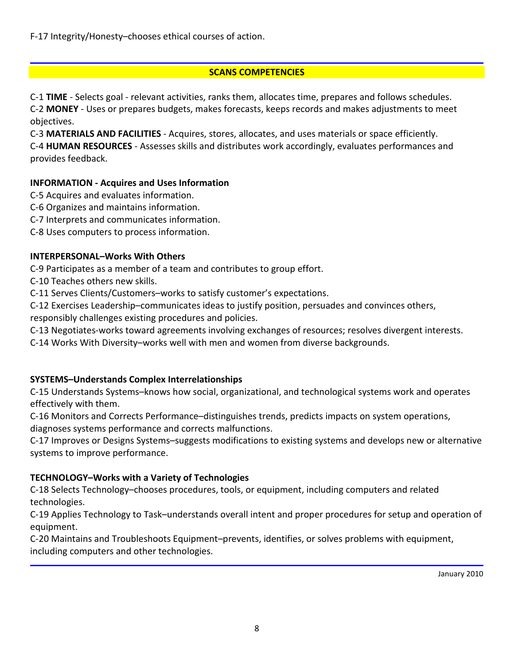F-17 Integrity/Honesty–chooses ethical courses of action.

# **SCANS COMPETENCIES**

C-1 **TIME** - Selects goal - relevant activities, ranks them, allocates time, prepares and follows schedules. C-2 **MONEY** - Uses or prepares budgets, makes forecasts, keeps records and makes adjustments to meet objectives.

C-3 **MATERIALS AND FACILITIES** - Acquires, stores, allocates, and uses materials or space efficiently. C-4 **HUMAN RESOURCES** - Assesses skills and distributes work accordingly, evaluates performances and provides feedback.

# **INFORMATION - Acquires and Uses Information**

- C-5 Acquires and evaluates information.
- C-6 Organizes and maintains information.
- C-7 Interprets and communicates information.
- C-8 Uses computers to process information.

# **INTERPERSONAL–Works With Others**

C-9 Participates as a member of a team and contributes to group effort.

C-10 Teaches others new skills.

C-11 Serves Clients/Customers–works to satisfy customer's expectations.

C-12 Exercises Leadership–communicates ideas to justify position, persuades and convinces others,

responsibly challenges existing procedures and policies.

C-13 Negotiates-works toward agreements involving exchanges of resources; resolves divergent interests.

C-14 Works With Diversity–works well with men and women from diverse backgrounds.

# **SYSTEMS–Understands Complex Interrelationships**

C-15 Understands Systems–knows how social, organizational, and technological systems work and operates effectively with them.

C-16 Monitors and Corrects Performance–distinguishes trends, predicts impacts on system operations,

diagnoses systems performance and corrects malfunctions.

C-17 Improves or Designs Systems–suggests modifications to existing systems and develops new or alternative systems to improve performance.

# **TECHNOLOGY–Works with a Variety of Technologies**

C-18 Selects Technology–chooses procedures, tools, or equipment, including computers and related technologies.

C-19 Applies Technology to Task–understands overall intent and proper procedures for setup and operation of equipment.

C-20 Maintains and Troubleshoots Equipment–prevents, identifies, or solves problems with equipment, including computers and other technologies.

January 2010